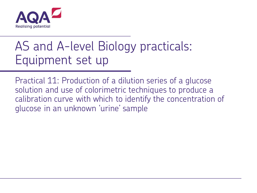

# AS and A-level Biology practicals: Equipment set up

Practical 11: Production of a dilution series of a glucose solution and use of colorimetric techniques to produce a calibration curve with which to identify the concentration of glucose in an unknown 'urine' sample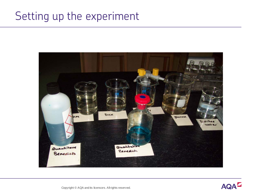#### Setting up the experiment



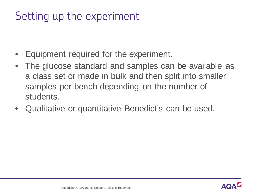- Equipment required for the experiment.
- The glucose standard and samples can be available as a class set or made in bulk and then split into smaller samples per bench depending on the number of students.
- Qualitative or quantitative Benedict's can be used.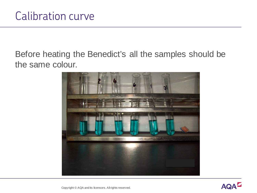Before heating the Benedict's all the samples should be the same colour.



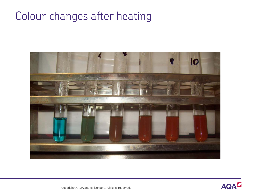## Colour changes after heating



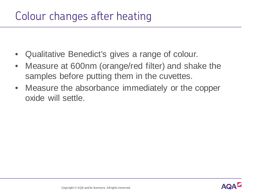## Colour changes after heating

- Qualitative Benedict's gives a range of colour.
- Measure at 600nm (orange/red filter) and shake the samples before putting them in the cuvettes.
- Measure the absorbance immediately or the copper oxide will settle.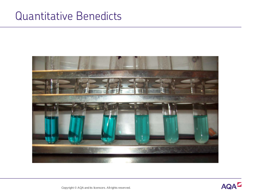#### Quantitative Benedicts



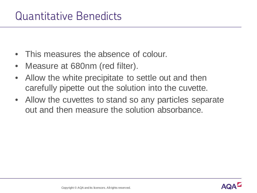#### Quantitative Benedicts

- This measures the absence of colour.
- Measure at 680nm (red filter).
- Allow the white precipitate to settle out and then carefully pipette out the solution into the cuvette.
- Allow the cuvettes to stand so any particles separate out and then measure the solution absorbance.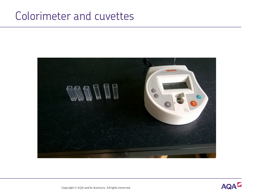#### Colorimeter and cuvettes



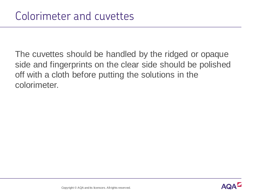The cuvettes should be handled by the ridged or opaque side and fingerprints on the clear side should be polished off with a cloth before putting the solutions in the colorimeter.